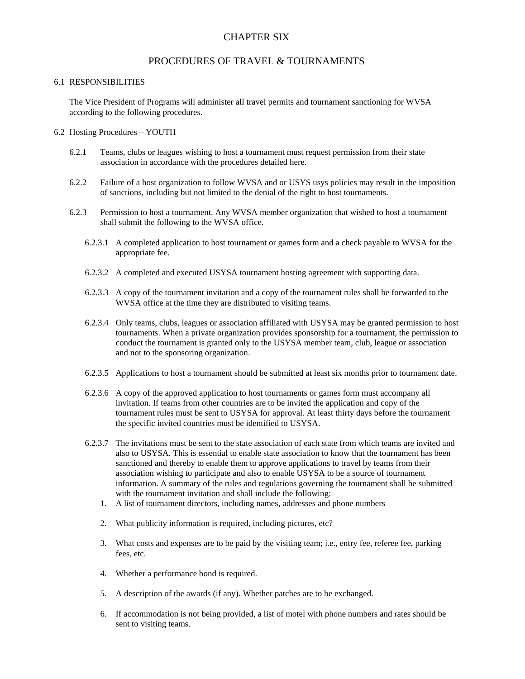## CHAPTER SIX

### PROCEDURES OF TRAVEL & TOURNAMENTS

#### 6.1 RESPONSIBILITIES

The Vice President of Programs will administer all travel permits and tournament sanctioning for WVSA according to the following procedures.

#### 6.2 Hosting Procedures – YOUTH

- 6.2.1 Teams, clubs or leagues wishing to host a tournament must request permission from their state association in accordance with the procedures detailed here.
- 6.2.2 Failure of a host organization to follow WVSA and or USYS usys policies may result in the imposition of sanctions, including but not limited to the denial of the right to host tournaments.
- 6.2.3 Permission to host a tournament. Any WVSA member organization that wished to host a tournament shall submit the following to the WVSA office.
	- 6.2.3.1 A completed application to host tournament or games form and a check payable to WVSA for the appropriate fee.
	- 6.2.3.2 A completed and executed USYSA tournament hosting agreement with supporting data.
	- 6.2.3.3 A copy of the tournament invitation and a copy of the tournament rules shall be forwarded to the WVSA office at the time they are distributed to visiting teams.
	- 6.2.3.4 Only teams, clubs, leagues or association affiliated with USYSA may be granted permission to host tournaments. When a private organization provides sponsorship for a tournament, the permission to conduct the tournament is granted only to the USYSA member team, club, league or association and not to the sponsoring organization.
	- 6.2.3.5 Applications to host a tournament should be submitted at least six months prior to tournament date.
	- 6.2.3.6 A copy of the approved application to host tournaments or games form must accompany all invitation. If teams from other countries are to be invited the application and copy of the tournament rules must be sent to USYSA for approval. At least thirty days before the tournament the specific invited countries must be identified to USYSA.
	- 6.2.3.7 The invitations must be sent to the state association of each state from which teams are invited and also to USYSA. This is essential to enable state association to know that the tournament has been sanctioned and thereby to enable them to approve applications to travel by teams from their association wishing to participate and also to enable USYSA to be a source of tournament information. A summary of the rules and regulations governing the tournament shall be submitted with the tournament invitation and shall include the following:
		- 1. A list of tournament directors, including names, addresses and phone numbers
		- 2. What publicity information is required, including pictures, etc?
		- 3. What costs and expenses are to be paid by the visiting team; i.e., entry fee, referee fee, parking fees, etc.
		- 4. Whether a performance bond is required.
		- 5. A description of the awards (if any). Whether patches are to be exchanged.
		- 6. If accommodation is not being provided, a list of motel with phone numbers and rates should be sent to visiting teams.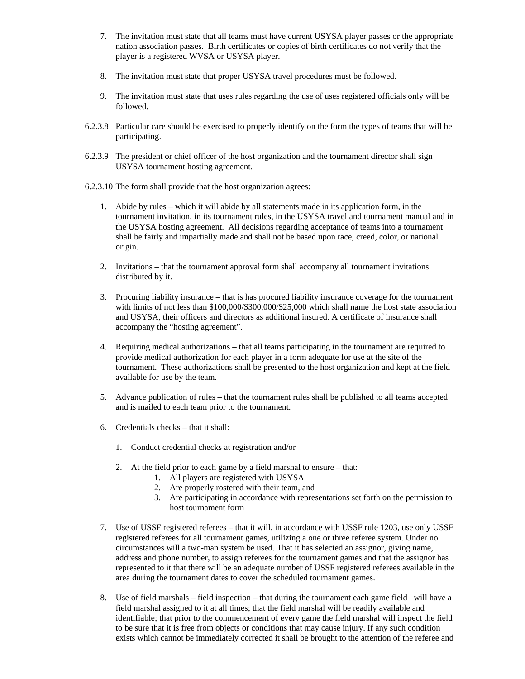- 7. The invitation must state that all teams must have current USYSA player passes or the appropriate nation association passes. Birth certificates or copies of birth certificates do not verify that the player is a registered WVSA or USYSA player.
- 8. The invitation must state that proper USYSA travel procedures must be followed.
- 9. The invitation must state that uses rules regarding the use of uses registered officials only will be followed.
- 6.2.3.8 Particular care should be exercised to properly identify on the form the types of teams that will be participating.
- 6.2.3.9 The president or chief officer of the host organization and the tournament director shall sign USYSA tournament hosting agreement.
- 6.2.3.10 The form shall provide that the host organization agrees:
	- 1. Abide by rules which it will abide by all statements made in its application form, in the tournament invitation, in its tournament rules, in the USYSA travel and tournament manual and in the USYSA hosting agreement. All decisions regarding acceptance of teams into a tournament shall be fairly and impartially made and shall not be based upon race, creed, color, or national origin.
	- 2. Invitations that the tournament approval form shall accompany all tournament invitations distributed by it.
	- 3. Procuring liability insurance that is has procured liability insurance coverage for the tournament with limits of not less than \$100,000/\$300,000/\$25,000 which shall name the host state association and USYSA, their officers and directors as additional insured. A certificate of insurance shall accompany the "hosting agreement".
	- 4. Requiring medical authorizations that all teams participating in the tournament are required to provide medical authorization for each player in a form adequate for use at the site of the tournament. These authorizations shall be presented to the host organization and kept at the field available for use by the team.
	- 5. Advance publication of rules that the tournament rules shall be published to all teams accepted and is mailed to each team prior to the tournament.
	- 6. Credentials checks that it shall:
		- 1. Conduct credential checks at registration and/or
		- 2. At the field prior to each game by a field marshal to ensure that:
			- 1. All players are registered with USYSA
			- 2. Are properly rostered with their team, and
			- 3. Are participating in accordance with representations set forth on the permission to host tournament form
	- 7. Use of USSF registered referees that it will, in accordance with USSF rule 1203, use only USSF registered referees for all tournament games, utilizing a one or three referee system. Under no circumstances will a two-man system be used. That it has selected an assignor, giving name, address and phone number, to assign referees for the tournament games and that the assignor has represented to it that there will be an adequate number of USSF registered referees available in the area during the tournament dates to cover the scheduled tournament games.
	- 8. Use of field marshals field inspection that during the tournament each game field will have a field marshal assigned to it at all times; that the field marshal will be readily available and identifiable; that prior to the commencement of every game the field marshal will inspect the field to be sure that it is free from objects or conditions that may cause injury. If any such condition exists which cannot be immediately corrected it shall be brought to the attention of the referee and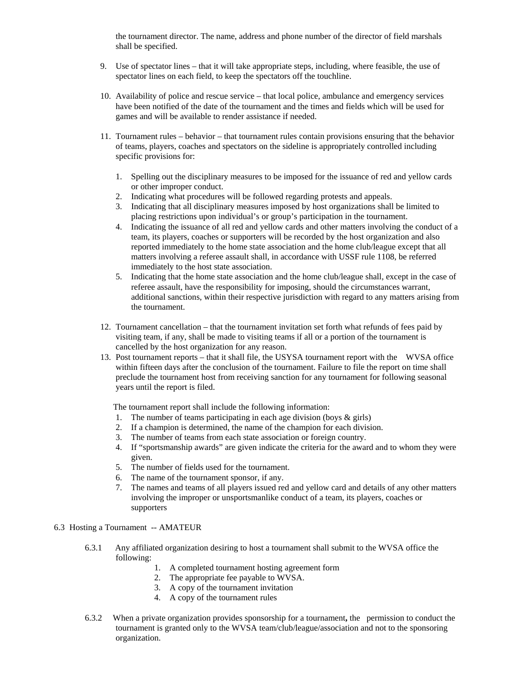the tournament director. The name, address and phone number of the director of field marshals shall be specified.

- 9. Use of spectator lines that it will take appropriate steps, including, where feasible, the use of spectator lines on each field, to keep the spectators off the touchline.
- 10. Availability of police and rescue service that local police, ambulance and emergency services have been notified of the date of the tournament and the times and fields which will be used for games and will be available to render assistance if needed.
- 11. Tournament rules behavior that tournament rules contain provisions ensuring that the behavior of teams, players, coaches and spectators on the sideline is appropriately controlled including specific provisions for:
	- 1. Spelling out the disciplinary measures to be imposed for the issuance of red and yellow cards or other improper conduct.
	- 2. Indicating what procedures will be followed regarding protests and appeals.
	- 3. Indicating that all disciplinary measures imposed by host organizations shall be limited to placing restrictions upon individual's or group's participation in the tournament.
	- 4. Indicating the issuance of all red and yellow cards and other matters involving the conduct of a team, its players, coaches or supporters will be recorded by the host organization and also reported immediately to the home state association and the home club/league except that all matters involving a referee assault shall, in accordance with USSF rule 1108, be referred immediately to the host state association.
	- 5. Indicating that the home state association and the home club/league shall, except in the case of referee assault, have the responsibility for imposing, should the circumstances warrant, additional sanctions, within their respective jurisdiction with regard to any matters arising from the tournament.
- 12. Tournament cancellation that the tournament invitation set forth what refunds of fees paid by visiting team, if any, shall be made to visiting teams if all or a portion of the tournament is cancelled by the host organization for any reason.
- 13. Post tournament reports that it shall file, the USYSA tournament report with the WVSA office within fifteen days after the conclusion of the tournament. Failure to file the report on time shall preclude the tournament host from receiving sanction for any tournament for following seasonal years until the report is filed.

The tournament report shall include the following information:

- 1. The number of teams participating in each age division (boys & girls)
- 2. If a champion is determined, the name of the champion for each division.
- 3. The number of teams from each state association or foreign country.
- 4. If "sportsmanship awards" are given indicate the criteria for the award and to whom they were given.
- 5. The number of fields used for the tournament.
- 6. The name of the tournament sponsor, if any.
- 7. The names and teams of all players issued red and yellow card and details of any other matters involving the improper or unsportsmanlike conduct of a team, its players, coaches or supporters

#### 6.3 Hosting a Tournament -- AMATEUR

- 6.3.1 Any affiliated organization desiring to host a tournament shall submit to the WVSA office the following:
	- 1. A completed tournament hosting agreement form
	- 2. The appropriate fee payable to WVSA.
	- 3. A copy of the tournament invitation
	- 4. A copy of the tournament rules
- 6.3.2 When a private organization provides sponsorship for a tournament**,** the permission to conduct the tournament is granted only to the WVSA team/club/league/association and not to the sponsoring organization.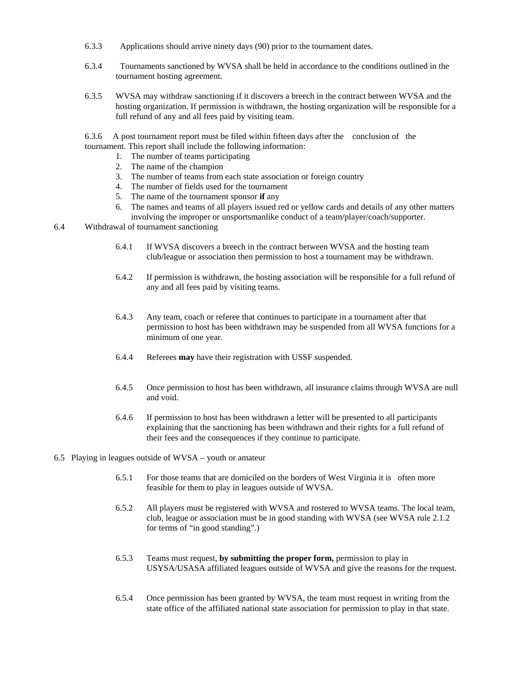- 6.3.3 Applications should arrive ninety days (90) prior to the tournament dates.
- 6.3.4 Tournaments sanctioned by WVSA shall be held in accordance to the conditions outlined in the tournament hosting agreement.
- 6.3.5 WVSA may withdraw sanctioning if it discovers a breech in the contract between WVSA and the hosting organization. If permission is withdrawn, the hosting organization will be responsible for a full refund of any and all fees paid by visiting team.

6.3.6 A post tournament report must be filed within fifteen days after the conclusion of the tournament. This report shall include the following information:

- 1. The number of teams participating
- 2. The name of the champion
- 3. The number of teams from each state association or foreign country
- 4. The number of fields used for the tournament
- 5. The name of the tournament sponsor **if** any
- 6. The names and teams of all players issued red or yellow cards and details of any other matters involving the improper or unsportsmanlike conduct of a team/player/coach/supporter.
- 6.4 Withdrawal of tournament sanctioning
	- 6.4.1 If WVSA discovers a breech in the contract between WVSA and the hosting team club/league or association then permission to host a tournament may be withdrawn.
	- 6.4.2 If permission is withdrawn, the hosting association will be responsible for a full refund of any and all fees paid by visiting teams.
	- 6.4.3 Any team, coach or referee that continues to participate in a tournament after that permission to host has been withdrawn may be suspended from all WVSA functions for a minimum of one year.
	- 6.4.4 Referees **may** have their registration with USSF suspended.
	- 6.4.5 Once permission to host has been withdrawn, all insurance claims through WVSA are null and void.
	- 6.4.6 If permission to host has been withdrawn a letter will be presented to all participants explaining that the sanctioning has been withdrawn and their rights for a full refund of their fees and the consequences if they continue to participate.
- 6.5 Playing in leagues outside of WVSA youth or amateur
	- 6.5.1 For those teams that are domiciled on the borders of West Virginia it is often more feasible for them to play in leagues outside of WVSA.
	- 6.5.2 All players must be registered with WVSA and rostered to WVSA teams. The local team, club, league or association must be in good standing with WVSA (see WVSA rule 2.1.2 for terms of "in good standing".)
	- 6.5.3 Teams must request, **by submitting the proper form,** permission to play in USYSA/USASA affiliated leagues outside of WVSA and give the reasons for the request.
	- 6.5.4 Once permission has been granted by WVSA, the team must request in writing from the state office of the affiliated national state association for permission to play in that state.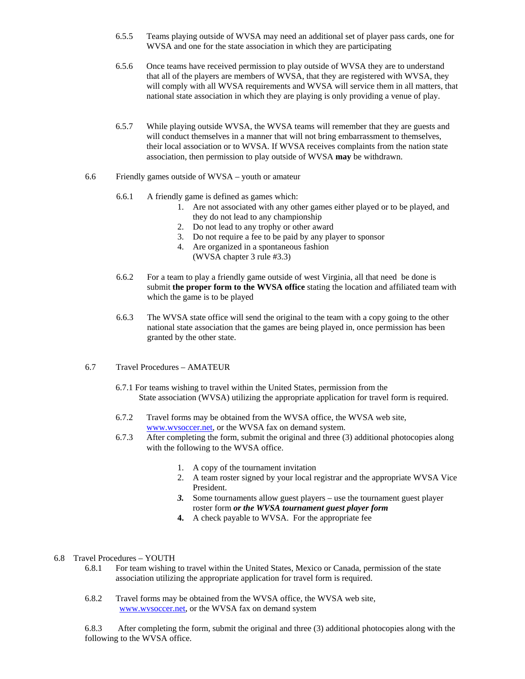- 6.5.5 Teams playing outside of WVSA may need an additional set of player pass cards, one for WVSA and one for the state association in which they are participating
- 6.5.6 Once teams have received permission to play outside of WVSA they are to understand that all of the players are members of WVSA, that they are registered with WVSA, they will comply with all WVSA requirements and WVSA will service them in all matters, that national state association in which they are playing is only providing a venue of play.
- 6.5.7 While playing outside WVSA, the WVSA teams will remember that they are guests and will conduct themselves in a manner that will not bring embarrassment to themselves, their local association or to WVSA. If WVSA receives complaints from the nation state association, then permission to play outside of WVSA **may** be withdrawn.
- 6.6 Friendly games outside of WVSA youth or amateur
	- 6.6.1 A friendly game is defined as games which:
		- 1. Are not associated with any other games either played or to be played, and they do not lead to any championship
		- 2. Do not lead to any trophy or other award
		- 3. Do not require a fee to be paid by any player to sponsor
		- 4. Are organized in a spontaneous fashion (WVSA chapter 3 rule #3.3)
	- 6.6.2 For a team to play a friendly game outside of west Virginia, all that need be done is submit **the proper form to the WVSA office** stating the location and affiliated team with which the game is to be played
	- 6.6.3 The WVSA state office will send the original to the team with a copy going to the other national state association that the games are being played in, once permission has been granted by the other state.
- 6.7 Travel Procedures AMATEUR
	- 6.7.1 For teams wishing to travel within the United States, permission from the State association (WVSA) utilizing the appropriate application for travel form is required.
	- 6.7.2 Travel forms may be obtained from the WVSA office, the WVSA web site, www.wvsoccer.net, or the WVSA fax on demand system.
	- 6.7.3 After completing the form, submit the original and three (3) additional photocopies along with the following to the WVSA office.
		- 1. A copy of the tournament invitation
		- 2. A team roster signed by your local registrar and the appropriate WVSA Vice President.
		- *3.* Some tournaments allow guest players use the tournament guest player roster form *or the WVSA tournament guest player form*
		- **4.** A check payable to WVSA. For the appropriate fee
- 6.8 Travel Procedures YOUTH
	- 6.8.1 For team wishing to travel within the United States, Mexico or Canada, permission of the state association utilizing the appropriate application for travel form is required.
	- 6.8.2 Travel forms may be obtained from the WVSA office, the WVSA web site, www.wvsoccer.net, or the WVSA fax on demand system

6.8.3 After completing the form, submit the original and three (3) additional photocopies along with the following to the WVSA office.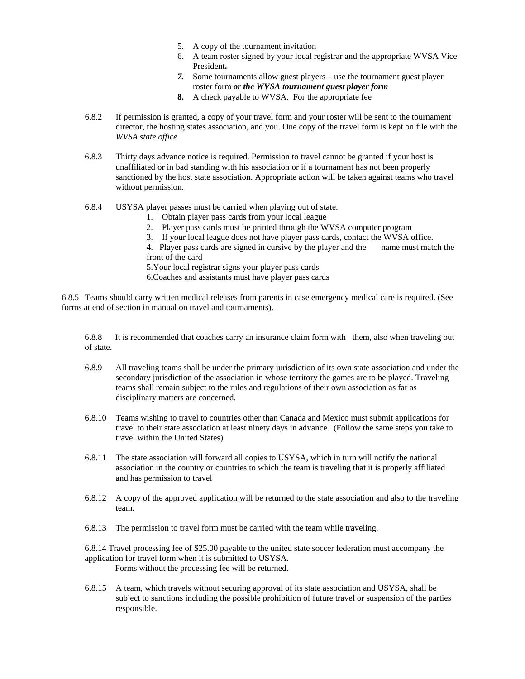- 5. A copy of the tournament invitation
- 6. A team roster signed by your local registrar and the appropriate WVSA Vice President**.**
- *7.* Some tournaments allow guest players use the tournament guest player roster form *or the WVSA tournament guest player form*
- **8.** A check payable to WVSA. For the appropriate fee
- 6.8.2 If permission is granted, a copy of your travel form and your roster will be sent to the tournament director, the hosting states association, and you. One copy of the travel form is kept on file with the *WVSA state office*
- 6.8.3 Thirty days advance notice is required. Permission to travel cannot be granted if your host is unaffiliated or in bad standing with his association or if a tournament has not been properly sanctioned by the host state association. Appropriate action will be taken against teams who travel without permission.
- 6.8.4 USYSA player passes must be carried when playing out of state.
	- 1. Obtain player pass cards from your local league
	- 2. Player pass cards must be printed through the WVSA computer program
	- 3. If your local league does not have player pass cards, contact the WVSA office.
	- 4. Player pass cards are signed in cursive by the player and the name must match the front of the card
	- 5.Your local registrar signs your player pass cards
	- 6.Coaches and assistants must have player pass cards

6.8.5 Teams should carry written medical releases from parents in case emergency medical care is required. (See forms at end of section in manual on travel and tournaments).

6.8.8 It is recommended that coaches carry an insurance claim form with them, also when traveling out of state.

- 6.8.9 All traveling teams shall be under the primary jurisdiction of its own state association and under the secondary jurisdiction of the association in whose territory the games are to be played. Traveling teams shall remain subject to the rules and regulations of their own association as far as disciplinary matters are concerned.
- 6.8.10 Teams wishing to travel to countries other than Canada and Mexico must submit applications for travel to their state association at least ninety days in advance. (Follow the same steps you take to travel within the United States)
- 6.8.11 The state association will forward all copies to USYSA, which in turn will notify the national association in the country or countries to which the team is traveling that it is properly affiliated and has permission to travel
- 6.8.12 A copy of the approved application will be returned to the state association and also to the traveling team.
- 6.8.13 The permission to travel form must be carried with the team while traveling.

6.8.14 Travel processing fee of \$25.00 payable to the united state soccer federation must accompany the application for travel form when it is submitted to USYSA. Forms without the processing fee will be returned.

6.8.15 A team, which travels without securing approval of its state association and USYSA, shall be subject to sanctions including the possible prohibition of future travel or suspension of the parties responsible.